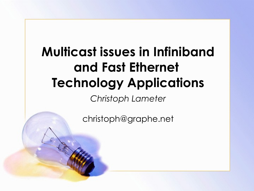# **Multicast issues in Infiniband and Fast Ethernet Technology Applications**

*Christoph Lameter*

christoph@graphe.net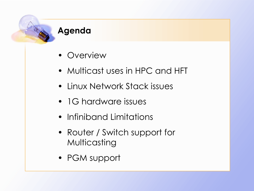#### **Agenda**

- Overview
- Multicast uses in HPC and HFT
- Linux Network Stack issues
- 1G hardware issues
- Infiniband Limitations
- Router / Switch support for Multicasting
- PGM support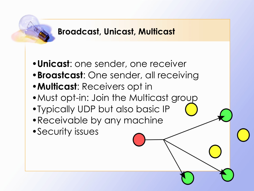### **Broadcast, Unicast, Multicast**

- •**Unicast**: one sender, one receiver
- •**Broastcast**: One sender, all receiving
- •**Multicast**: Receivers opt in
- Must opt-in: Join the Multicast group
- •Typically UDP but also basic IP
- •Receivable by any machine
- •Security issues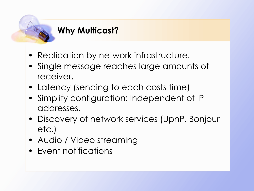## **Why Multicast?**

- Replication by network infrastructure.
- Single message reaches large amounts of receiver.
- Latency (sending to each costs time)
- Simplify configuration: Independent of IP addresses.
- Discovery of network services (UpnP, Bonjour etc.)
- Audio / Video streaming
- Event notifications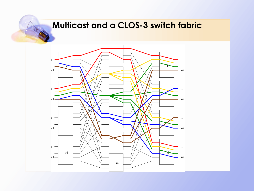## **Multicast and a CLOS-3 switch fabric**

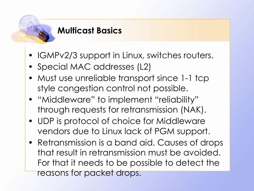#### **Multicast Basics**

- IGMPv2/3 support in Linux, switches routers.
- Special MAC addresses (L2)
- Must use unreliable transport since 1-1 tcp style congestion control not possible.
- "Middleware" to implement "reliability" through requests for retransmission (NAK).
- UDP is protocol of choice for Middleware vendors due to Linux lack of PGM support.
- Retransmission is a band aid. Causes of drops that result in retransmission must be avoided. For that it needs to be possible to detect the reasons for packet drops.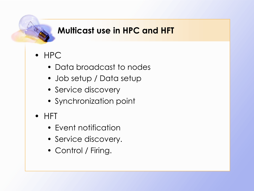## **Multicast use in HPC and HFT**

- HPC
	- Data broadcast to nodes
	- Job setup / Data setup
	- Service discovery
	- Synchronization point
- HFT
	- Event notification
	- Service discovery.
	- Control / Firing.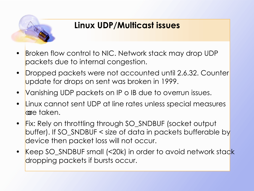

## **Linux UDP/Multicast issues**

- Broken flow control to NIC. Network stack may drop UDP packets due to internal congestion.
- Dropped packets were not accounted until 2.6.32. Counter update for drops on sent was broken in 1999.
- Vanishing UDP packets on IP o IB due to overrun issues.
- Linux cannot sent UDP at line rates unless special measures lare taken.
- Fix: Rely on throttling through SO\_SNDBUF (socket output buffer). If SO\_SNDBUF < size of data in packets bufferable by device then packet loss will not occur.
- Keep SO\_SNDBUF small (<20k) in order to avoid network stack dropping packets if bursts occur.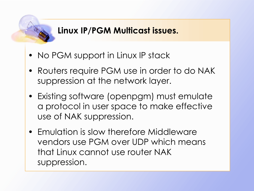## **Linux IP/PGM Multicast issues.**

- No PGM support in Linux IP stack
- Routers require PGM use in order to do NAK suppression at the network layer.
- Existing software (openpgm) must emulate a protocol in user space to make effective use of NAK suppression.
- Emulation is slow therefore Middleware vendors use PGM over UDP which means that Linux cannot use router NAK suppression.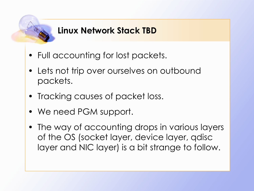#### **Linux Network Stack TBD**

- Full accounting for lost packets.
- Lets not trip over ourselves on outbound packets.
- Tracking causes of packet loss.
- We need PGM support.
- The way of accounting drops in various layers of the OS (socket layer, device layer, qdisc layer and NIC layer) is a bit strange to follow.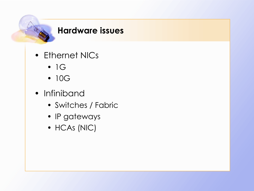#### **Hardware issues**

- Ethernet NICs
	- $\bullet$  1G
	- 10G
- Infiniband
	- Switches / Fabric
	- IP gateways
	- HCAs (NIC)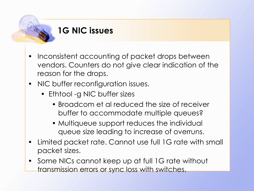#### **1G NIC issues**

- Inconsistent accounting of packet drops between vendors. Counters do not give clear indication of the reason for the drops.
- NIC buffer reconfiguration issues.
	- Ethtool -g NIC buffer sizes
		- Broadcom et al reduced the size of receiver buffer to accommodate multiple queues?
		- Multiqueue support reduces the individual queue size leading to increase of overruns.
- Limited packet rate. Cannot use full 1G rate with small packet sizes.
- Some NICs cannot keep up at full 1G rate without transmission errors or sync loss with switches.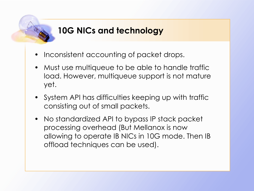## **10G NICs and technology**

- Inconsistent accounting of packet drops.
- Must use multiqueue to be able to handle traffic load. However, multiqueue support is not mature yet.
- System API has difficulties keeping up with traffic consisting out of small packets.
- No standardized API to bypass IP stack packet processing overhead (But Mellanox is now allowing to operate IB NICs in 10G mode. Then IB offload techniques can be used).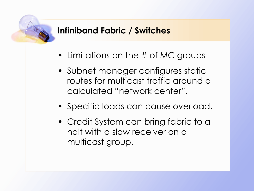#### **Infiniband Fabric / Switches**

- Limitations on the # of MC groups
- Subnet manager configures static routes for multicast traffic around a calculated "network center".
- Specific loads can cause overload.
- Credit System can bring fabric to a halt with a slow receiver on a multicast group.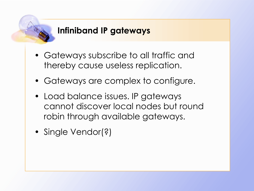#### **Infiniband IP gateways**

- Gateways subscribe to all traffic and thereby cause useless replication.
- Gateways are complex to configure.
- Load balance issues. IP gateways cannot discover local nodes but round robin through available gateways.
- Single Vendor(?)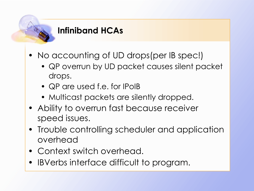#### **Infiniband HCAs**

- No accounting of UD drops (per IB spec!)
	- QP overrun by UD packet causes silent packet drops.
	- QP are used f.e. for IPoIB
	- Multicast packets are silently dropped.
- Ability to overrun fast because receiver speed issues.
- Trouble controlling scheduler and application overhead
- Context switch overhead.
- IBVerbs interface difficult to program.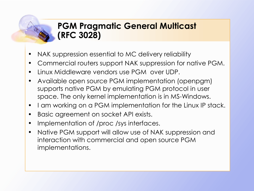#### **PGM Pragmatic General Multicast (RFC 3028)**

- NAK suppression essential to MC delivery reliability
- Commercial routers support NAK suppression for native PGM.
- Linux Middleware vendors use PGM over UDP.
- Available open source PGM implementation (openpgm) supports native PGM by emulating PGM protocol in user space. The only kernel implementation is in MS-Windows.
- I am working on a PGM implementation for the Linux IP stack.
- Basic agreement on socket API exists.
- Implementation of /proc /sys interfaces.
- Native PGM support will allow use of NAK suppression and interaction with commercial and open source PGM implementations.